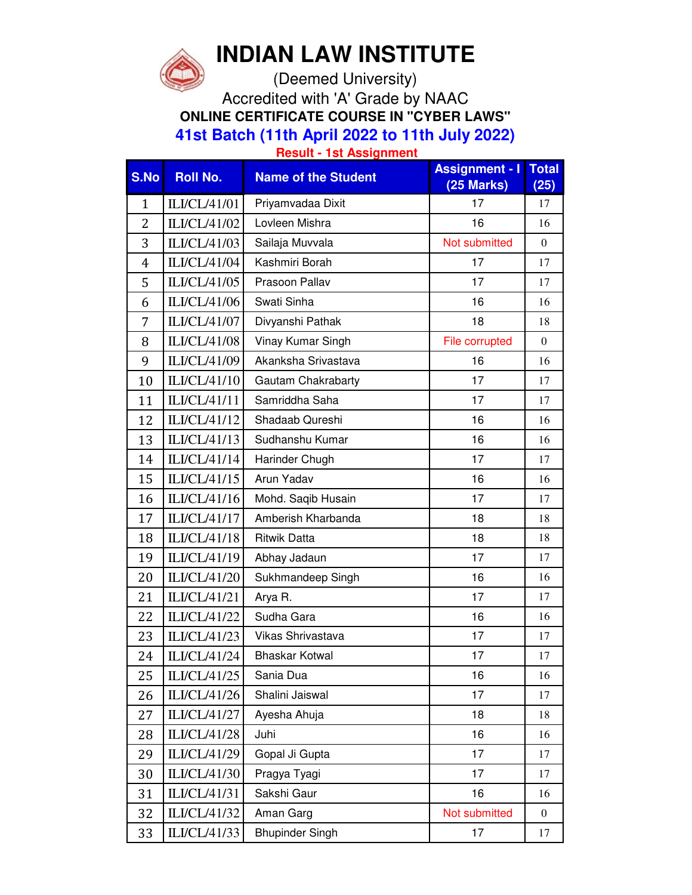

## **INDIAN LAW INSTITUTE**

(Deemed University)

Accredited with 'A' Grade by NAAC **ONLINE CERTIFICATE COURSE IN "CYBER LAWS" 41st Batch (11th April 2022 to 11th July 2022)**

**Result - 1st Assignment**

| S.No           | <b>Roll No.</b> | <b>Name of the Student</b> | <b>Assignment - I</b><br>(25 Marks) | <b>Total</b><br>(25) |
|----------------|-----------------|----------------------------|-------------------------------------|----------------------|
| $\mathbf{1}$   | ILI/CL/41/01    | Priyamvadaa Dixit          | 17                                  | 17                   |
| $\overline{2}$ | ILI/CL/41/02    | Lovleen Mishra             | 16                                  | 16                   |
| 3              | ILI/CL/41/03    | Sailaja Muvvala            | Not submitted                       | $\mathbf{0}$         |
| $\overline{4}$ | ILI/CL/41/04    | Kashmiri Borah             | 17                                  | 17                   |
| 5              | ILI/CL/41/05    | Prasoon Pallav             | 17                                  | 17                   |
| 6              | ILI/CL/41/06    | Swati Sinha                | 16                                  | 16                   |
| 7              | ILI/CL/41/07    | Divyanshi Pathak           | 18                                  | 18                   |
| 8              | ILI/CL/41/08    | Vinay Kumar Singh          | File corrupted                      | $\mathbf{0}$         |
| 9              | ILI/CL/41/09    | Akanksha Srivastava        | 16                                  | 16                   |
| 10             | ILI/CL/41/10    | Gautam Chakrabarty         | 17                                  | 17                   |
| 11             | ILI/CL/41/11    | Samriddha Saha             | 17                                  | 17                   |
| 12             | ILI/CL/41/12    | Shadaab Qureshi            | 16                                  | 16                   |
| 13             | ILI/CL/41/13    | Sudhanshu Kumar            | 16                                  | 16                   |
| 14             | ILI/CL/41/14    | Harinder Chugh             | 17                                  | 17                   |
| 15             | ILI/CL/41/15    | Arun Yadav                 | 16                                  | 16                   |
| 16             | ILI/CL/41/16    | Mohd. Saqib Husain         | 17                                  | 17                   |
| 17             | ILI/CL/41/17    | Amberish Kharbanda         | 18                                  | 18                   |
| 18             | ILI/CL/41/18    | <b>Ritwik Datta</b>        | 18                                  | 18                   |
| 19             | ILI/CL/41/19    | Abhay Jadaun               | 17                                  | 17                   |
| 20             | ILI/CL/41/20    | Sukhmandeep Singh          | 16                                  | 16                   |
| 21             | ILI/CL/41/21    | Arya R.                    | 17                                  | 17                   |
| 22             | ILI/CL/41/22    | Sudha Gara                 | 16                                  | 16                   |
| 23             | ILI/CL/41/23    | Vikas Shrivastava          | 17                                  | 17                   |
| 24             | ILI/CL/41/24    | <b>Bhaskar Kotwal</b>      | 17                                  | 17                   |
| 25             | ILI/CL/41/25    | Sania Dua                  | 16                                  | 16                   |
| 26             | ILI/CL/41/26    | Shalini Jaiswal            | 17                                  | 17                   |
| 27             | ILI/CL/41/27    | Ayesha Ahuja               | 18                                  | 18                   |
| 28             | ILI/CL/41/28    | Juhi                       | 16                                  | 16                   |
| 29             | ILI/CL/41/29    | Gopal Ji Gupta             | 17                                  | 17                   |
| 30             | ILI/CL/41/30    | Pragya Tyagi               | 17                                  | 17                   |
| 31             | ILI/CL/41/31    | Sakshi Gaur                | 16                                  | 16                   |
| 32             | ILI/CL/41/32    | Aman Garg                  | Not submitted                       | $\boldsymbol{0}$     |
| 33             | ILI/CL/41/33    | <b>Bhupinder Singh</b>     | 17                                  | 17                   |